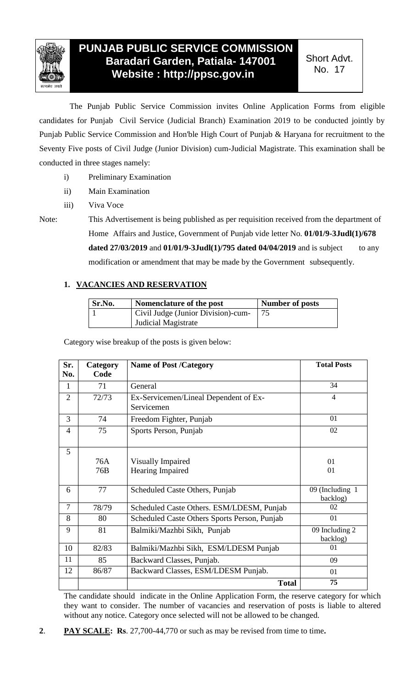

## **PUNJAB PUBLIC SERVICE COMMISSION Baradari Garden, Patiala- 147001 Website : http://ppsc.gov.in**

Short Advt. No. 17

The Punjab Public Service Commission invites Online Application Forms from eligible candidates for Punjab Civil Service (Judicial Branch) Examination 2019 to be conducted jointly by Punjab Public Service Commission and Hon'ble High Court of Punjab & Haryana for recruitment to the Seventy Five posts of Civil Judge (Junior Division) cum-Judicial Magistrate. This examination shall be conducted in three stages namely:

- i) Preliminary Examination
- ii) Main Examination
- iii) Viva Voce

Note: This Advertisement is being published as per requisition received from the department of Home Affairs and Justice, Government of Punjab vide letter No. **01/01/9-3Judl(1)/678 dated 27/03/2019** and  $01/01/9 - 3$ **Judl**(1)/795 dated  $04/04/2019$  and is subject to any modification or amendment that may be made by the Government subsequently.

## **1. VACANCIES AND RESERVATION**

| Sr.No. | Nomenclature of the post           | Number of posts |
|--------|------------------------------------|-----------------|
|        | Civil Judge (Junior Division)-cum- |                 |
|        | Judicial Magistrate                |                 |

Category wise breakup of the posts is given below:

| Sr.<br>No.     | Category<br>Code | <b>Name of Post /Category</b>                | <b>Total Posts</b> |
|----------------|------------------|----------------------------------------------|--------------------|
|                |                  |                                              |                    |
| 1              | 71               | General                                      | 34                 |
| $\overline{2}$ | 72/73            | Ex-Servicemen/Lineal Dependent of Ex-        | $\overline{4}$     |
|                |                  | Servicemen                                   |                    |
| 3              | 74               | Freedom Fighter, Punjab                      | 01                 |
| 4              | 75               | Sports Person, Punjab                        | 02                 |
|                |                  |                                              |                    |
| 5              |                  |                                              |                    |
|                | 76A              | <b>Visually Impaired</b>                     | 01                 |
|                | 76B              | Hearing Impaired                             | 01                 |
|                |                  |                                              |                    |
| 6              | 77               | Scheduled Caste Others, Punjab               | 09 (Including 1    |
|                |                  |                                              | backlog)           |
| $\overline{7}$ | 78/79            | Scheduled Caste Others. ESM/LDESM, Punjab    | 02                 |
| 8              | 80               | Scheduled Caste Others Sports Person, Punjab | 01                 |
| 9              | 81               | Balmiki/Mazhbi Sikh, Punjab                  | 09 Including 2     |
|                |                  |                                              | backlog)           |
| 10             | 82/83            | Balmiki/Mazhbi Sikh, ESM/LDESM Punjab        | 01                 |
| 11             | 85               | Backward Classes, Punjab.                    | 09                 |
| 12             | 86/87            | Backward Classes, ESM/LDESM Punjab.          | 01                 |
|                |                  | <b>Total</b>                                 | 75                 |

The candidate should indicate in the Online Application Form, the reserve category for which they want to consider. The number of vacancies and reservation of posts is liable to altered without any notice. Category once selected will not be allowed to be changed.

**2**. **PAY SCALE: Rs**. 27,700-44,770 or such as may be revised from time to time**.**